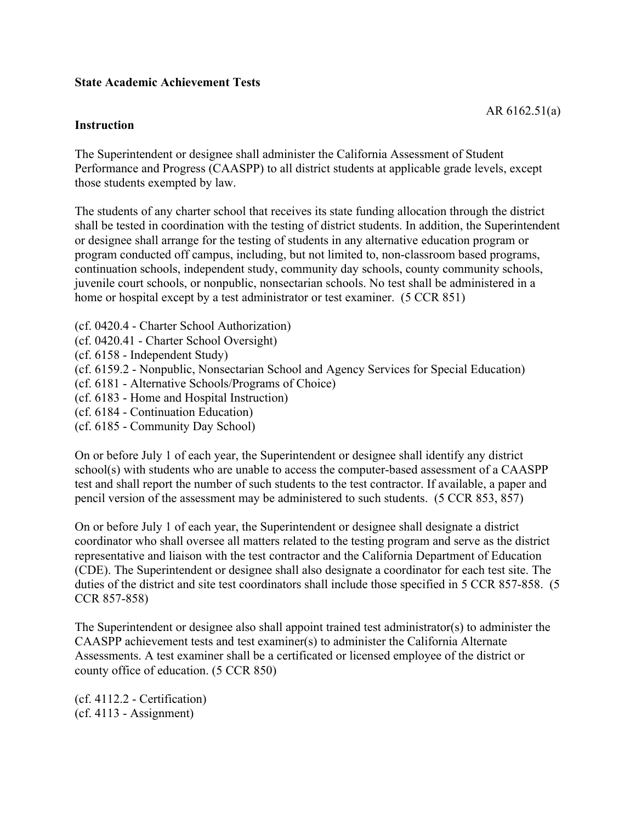#### **State Academic Achievement Tests**

#### **Instruction**

The Superintendent or designee shall administer the California Assessment of Student Performance and Progress (CAASPP) to all district students at applicable grade levels, except those students exempted by law.

The students of any charter school that receives its state funding allocation through the district shall be tested in coordination with the testing of district students. In addition, the Superintendent or designee shall arrange for the testing of students in any alternative education program or program conducted off campus, including, but not limited to, non-classroom based programs, continuation schools, independent study, community day schools, county community schools, juvenile court schools, or nonpublic, nonsectarian schools. No test shall be administered in a home or hospital except by a test administrator or test examiner. (5 CCR 851)

(cf. 0420.4 - Charter School Authorization)

(cf. 0420.41 - Charter School Oversight)

(cf. 6158 - Independent Study)

(cf. 6159.2 - Nonpublic, Nonsectarian School and Agency Services for Special Education)

(cf. 6181 - Alternative Schools/Programs of Choice)

(cf. 6183 - Home and Hospital Instruction)

(cf. 6184 - Continuation Education)

(cf. 6185 - Community Day School)

On or before July 1 of each year, the Superintendent or designee shall identify any district school(s) with students who are unable to access the computer-based assessment of a CAASPP test and shall report the number of such students to the test contractor. If available, a paper and pencil version of the assessment may be administered to such students. (5 CCR 853, 857)

On or before July 1 of each year, the Superintendent or designee shall designate a district coordinator who shall oversee all matters related to the testing program and serve as the district representative and liaison with the test contractor and the California Department of Education (CDE). The Superintendent or designee shall also designate a coordinator for each test site. The duties of the district and site test coordinators shall include those specified in 5 CCR 857-858. (5 CCR 857-858)

The Superintendent or designee also shall appoint trained test administrator(s) to administer the CAASPP achievement tests and test examiner(s) to administer the California Alternate Assessments. A test examiner shall be a certificated or licensed employee of the district or county office of education. (5 CCR 850)

(cf. 4112.2 - Certification) (cf. 4113 - Assignment)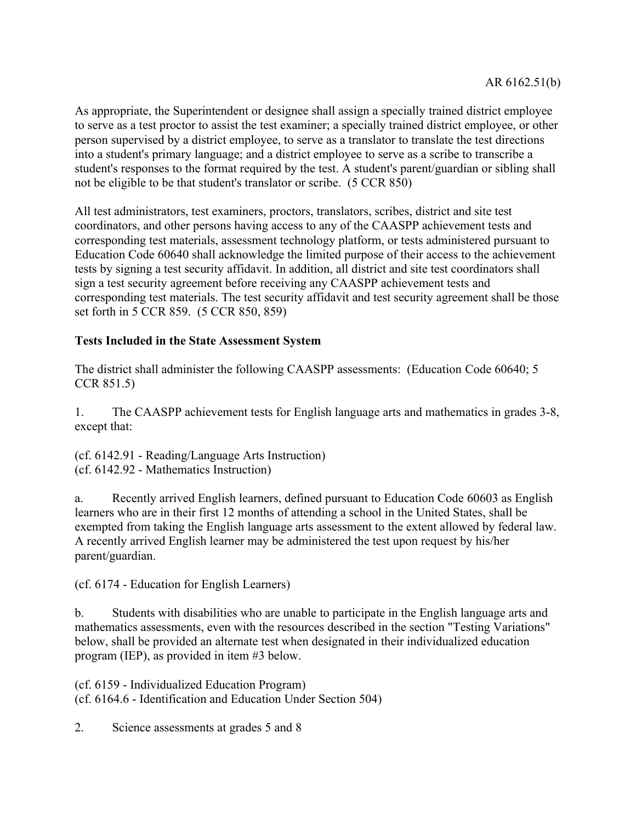As appropriate, the Superintendent or designee shall assign a specially trained district employee to serve as a test proctor to assist the test examiner; a specially trained district employee, or other person supervised by a district employee, to serve as a translator to translate the test directions into a student's primary language; and a district employee to serve as a scribe to transcribe a student's responses to the format required by the test. A student's parent/guardian or sibling shall not be eligible to be that student's translator or scribe. (5 CCR 850)

All test administrators, test examiners, proctors, translators, scribes, district and site test coordinators, and other persons having access to any of the CAASPP achievement tests and corresponding test materials, assessment technology platform, or tests administered pursuant to Education Code 60640 shall acknowledge the limited purpose of their access to the achievement tests by signing a test security affidavit. In addition, all district and site test coordinators shall sign a test security agreement before receiving any CAASPP achievement tests and corresponding test materials. The test security affidavit and test security agreement shall be those set forth in 5 CCR 859. (5 CCR 850, 859)

## **Tests Included in the State Assessment System**

The district shall administer the following CAASPP assessments: (Education Code 60640; 5 CCR 851.5)

1. The CAASPP achievement tests for English language arts and mathematics in grades 3-8, except that:

(cf. 6142.91 - Reading/Language Arts Instruction) (cf. 6142.92 - Mathematics Instruction)

a. Recently arrived English learners, defined pursuant to Education Code 60603 as English learners who are in their first 12 months of attending a school in the United States, shall be exempted from taking the English language arts assessment to the extent allowed by federal law. A recently arrived English learner may be administered the test upon request by his/her parent/guardian.

(cf. 6174 - Education for English Learners)

b. Students with disabilities who are unable to participate in the English language arts and mathematics assessments, even with the resources described in the section "Testing Variations" below, shall be provided an alternate test when designated in their individualized education program (IEP), as provided in item #3 below.

(cf. 6159 - Individualized Education Program) (cf. 6164.6 - Identification and Education Under Section 504)

2. Science assessments at grades 5 and 8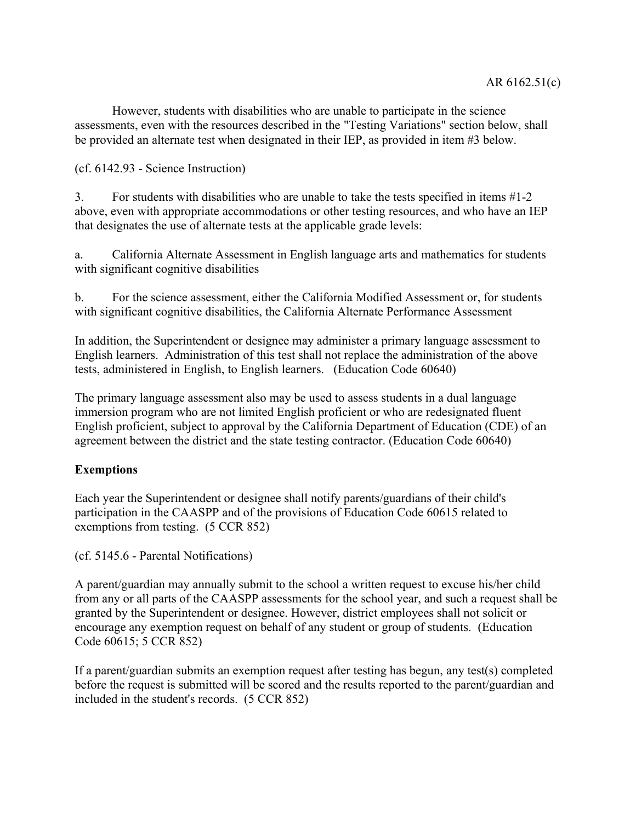However, students with disabilities who are unable to participate in the science assessments, even with the resources described in the "Testing Variations" section below, shall be provided an alternate test when designated in their IEP, as provided in item #3 below.

(cf. 6142.93 - Science Instruction)

3. For students with disabilities who are unable to take the tests specified in items #1-2 above, even with appropriate accommodations or other testing resources, and who have an IEP that designates the use of alternate tests at the applicable grade levels:

a. California Alternate Assessment in English language arts and mathematics for students with significant cognitive disabilities

b. For the science assessment, either the California Modified Assessment or, for students with significant cognitive disabilities, the California Alternate Performance Assessment

In addition, the Superintendent or designee may administer a primary language assessment to English learners. Administration of this test shall not replace the administration of the above tests, administered in English, to English learners. (Education Code 60640)

The primary language assessment also may be used to assess students in a dual language immersion program who are not limited English proficient or who are redesignated fluent English proficient, subject to approval by the California Department of Education (CDE) of an agreement between the district and the state testing contractor. (Education Code 60640)

## **Exemptions**

Each year the Superintendent or designee shall notify parents/guardians of their child's participation in the CAASPP and of the provisions of Education Code 60615 related to exemptions from testing. (5 CCR 852)

(cf. 5145.6 - Parental Notifications)

A parent/guardian may annually submit to the school a written request to excuse his/her child from any or all parts of the CAASPP assessments for the school year, and such a request shall be granted by the Superintendent or designee. However, district employees shall not solicit or encourage any exemption request on behalf of any student or group of students. (Education Code 60615; 5 CCR 852)

If a parent/guardian submits an exemption request after testing has begun, any test(s) completed before the request is submitted will be scored and the results reported to the parent/guardian and included in the student's records. (5 CCR 852)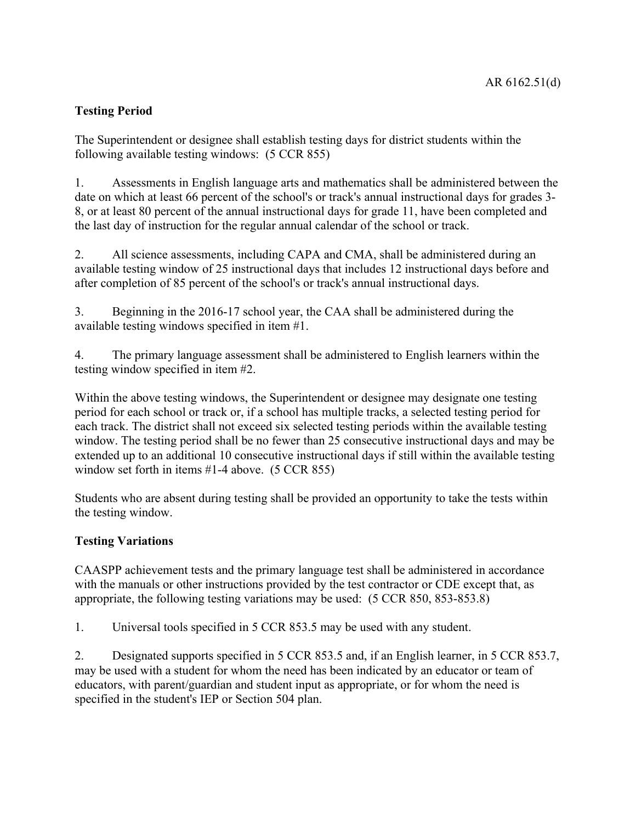# **Testing Period**

The Superintendent or designee shall establish testing days for district students within the following available testing windows: (5 CCR 855)

1. Assessments in English language arts and mathematics shall be administered between the date on which at least 66 percent of the school's or track's annual instructional days for grades 3- 8, or at least 80 percent of the annual instructional days for grade 11, have been completed and the last day of instruction for the regular annual calendar of the school or track.

2. All science assessments, including CAPA and CMA, shall be administered during an available testing window of 25 instructional days that includes 12 instructional days before and after completion of 85 percent of the school's or track's annual instructional days.

3. Beginning in the 2016-17 school year, the CAA shall be administered during the available testing windows specified in item #1.

4. The primary language assessment shall be administered to English learners within the testing window specified in item #2.

Within the above testing windows, the Superintendent or designee may designate one testing period for each school or track or, if a school has multiple tracks, a selected testing period for each track. The district shall not exceed six selected testing periods within the available testing window. The testing period shall be no fewer than 25 consecutive instructional days and may be extended up to an additional 10 consecutive instructional days if still within the available testing window set forth in items #1-4 above. (5 CCR 855)

Students who are absent during testing shall be provided an opportunity to take the tests within the testing window.

## **Testing Variations**

CAASPP achievement tests and the primary language test shall be administered in accordance with the manuals or other instructions provided by the test contractor or CDE except that, as appropriate, the following testing variations may be used: (5 CCR 850, 853-853.8)

1. Universal tools specified in 5 CCR 853.5 may be used with any student.

2. Designated supports specified in 5 CCR 853.5 and, if an English learner, in 5 CCR 853.7, may be used with a student for whom the need has been indicated by an educator or team of educators, with parent/guardian and student input as appropriate, or for whom the need is specified in the student's IEP or Section 504 plan.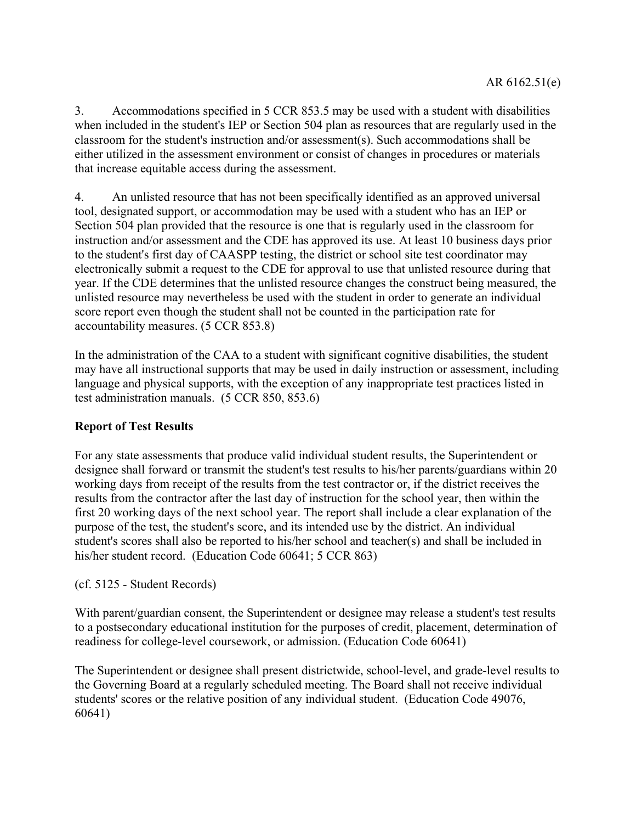3. Accommodations specified in 5 CCR 853.5 may be used with a student with disabilities when included in the student's IEP or Section 504 plan as resources that are regularly used in the classroom for the student's instruction and/or assessment(s). Such accommodations shall be either utilized in the assessment environment or consist of changes in procedures or materials that increase equitable access during the assessment.

4. An unlisted resource that has not been specifically identified as an approved universal tool, designated support, or accommodation may be used with a student who has an IEP or Section 504 plan provided that the resource is one that is regularly used in the classroom for instruction and/or assessment and the CDE has approved its use. At least 10 business days prior to the student's first day of CAASPP testing, the district or school site test coordinator may electronically submit a request to the CDE for approval to use that unlisted resource during that year. If the CDE determines that the unlisted resource changes the construct being measured, the unlisted resource may nevertheless be used with the student in order to generate an individual score report even though the student shall not be counted in the participation rate for accountability measures. (5 CCR 853.8)

In the administration of the CAA to a student with significant cognitive disabilities, the student may have all instructional supports that may be used in daily instruction or assessment, including language and physical supports, with the exception of any inappropriate test practices listed in test administration manuals. (5 CCR 850, 853.6)

## **Report of Test Results**

For any state assessments that produce valid individual student results, the Superintendent or designee shall forward or transmit the student's test results to his/her parents/guardians within 20 working days from receipt of the results from the test contractor or, if the district receives the results from the contractor after the last day of instruction for the school year, then within the first 20 working days of the next school year. The report shall include a clear explanation of the purpose of the test, the student's score, and its intended use by the district. An individual student's scores shall also be reported to his/her school and teacher(s) and shall be included in his/her student record. (Education Code 60641; 5 CCR 863)

(cf. 5125 - Student Records)

With parent/guardian consent, the Superintendent or designee may release a student's test results to a postsecondary educational institution for the purposes of credit, placement, determination of readiness for college-level coursework, or admission. (Education Code 60641)

The Superintendent or designee shall present districtwide, school-level, and grade-level results to the Governing Board at a regularly scheduled meeting. The Board shall not receive individual students' scores or the relative position of any individual student. (Education Code 49076, 60641)